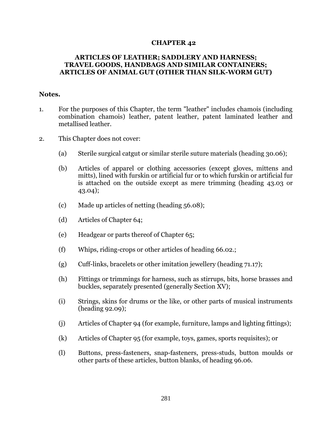## **CHAPTER 42**

## **ARTICLES OF LEATHER; SADDLERY AND HARNESS; TRAVEL GOODS, HANDBAGS AND SIMILAR CONTAINERS; ARTICLES OF ANIMAL GUT (OTHER THAN SILK-WORM GUT)**

## **Notes.**

- 1. For the purposes of this Chapter, the term "leather" includes chamois (including combination chamois) leather, patent leather, patent laminated leather and metallised leather.
- 2. This Chapter does not cover:
	- (a) Sterile surgical catgut or similar sterile suture materials (heading 30.06);
	- (b) Articles of apparel or clothing accessories (except gloves, mittens and mitts), lined with furskin or artificial fur or to which furskin or artificial fur is attached on the outside except as mere trimming (heading 43.03 or 43.04);
	- (c) Made up articles of netting (heading 56.08);
	- (d) Articles of Chapter 64;
	- (e) Headgear or parts thereof of Chapter 65;
	- (f) Whips, riding-crops or other articles of heading 66.02.;
	- (g) Cuff-links, bracelets or other imitation jewellery (heading 71.17);
	- (h) Fittings or trimmings for harness, such as stirrups, bits, horse brasses and buckles, separately presented (generally Section XV);
	- (i) Strings, skins for drums or the like, or other parts of musical instruments (heading 92.09);
	- (j) Articles of Chapter 94 (for example, furniture, lamps and lighting fittings);
	- (k) Articles of Chapter 95 (for example, toys, games, sports requisites); or
	- (l) Buttons, press-fasteners, snap-fasteners, press-studs, button moulds or other parts of these articles, button blanks, of heading 96.06.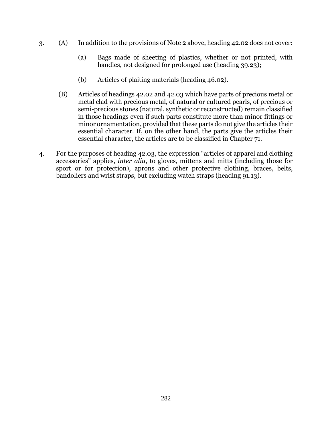- 3. (A) In addition to the provisions of Note 2 above, heading 42.02 does not cover:
	- (a) Bags made of sheeting of plastics, whether or not printed, with handles, not designed for prolonged use (heading 39.23);
	- (b) Articles of plaiting materials (heading 46.02).
	- (B) Articles of headings 42.02 and 42.03 which have parts of precious metal or metal clad with precious metal, of natural or cultured pearls, of precious or semi-precious stones (natural, synthetic or reconstructed) remain classified in those headings even if such parts constitute more than minor fittings or minor ornamentation, provided that these parts do not give the articles their essential character. If, on the other hand, the parts give the articles their essential character, the articles are to be classified in Chapter 71.
- 4. For the purposes of heading 42.03, the expression "articles of apparel and clothing accessories" applies, *inter alia*, to gloves, mittens and mitts (including those for sport or for protection), aprons and other protective clothing, braces, belts, bandoliers and wrist straps, but excluding watch straps (heading 91.13).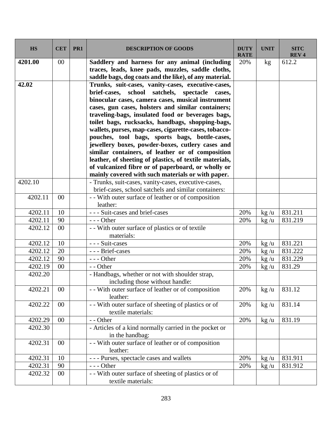| <b>HS</b> | <b>CET</b> | PR <sub>1</sub> | <b>DESCRIPTION OF GOODS</b>                                                                                                                                                                                                                                                                                                                                                                                                                                                                                                                                                                                                                                                                                                | <b>DUTY</b><br><b>RATE</b> | <b>UNIT</b>          | <b>SITC</b><br><b>REV4</b> |
|-----------|------------|-----------------|----------------------------------------------------------------------------------------------------------------------------------------------------------------------------------------------------------------------------------------------------------------------------------------------------------------------------------------------------------------------------------------------------------------------------------------------------------------------------------------------------------------------------------------------------------------------------------------------------------------------------------------------------------------------------------------------------------------------------|----------------------------|----------------------|----------------------------|
| 4201.00   | 00         |                 | Saddlery and harness for any animal (including<br>traces, leads, knee pads, muzzles, saddle cloths,<br>saddle bags, dog coats and the like), of any material.                                                                                                                                                                                                                                                                                                                                                                                                                                                                                                                                                              | 20%                        | kg                   | 612.2                      |
| 42.02     |            |                 | Trunks, suit-cases, vanity-cases, executive-cases,<br>brief-cases, school<br>satchels,<br>spectacle<br>cases,<br>binocular cases, camera cases, musical instrument<br>cases, gun cases, holsters and similar containers;<br>traveling-bags, insulated food or beverages bags,<br>toilet bags, rucksacks, handbags, shopping-bags,<br>wallets, purses, map-cases, cigarette-cases, tobacco-<br>pouches, tool bags, sports bags, bottle-cases,<br>jewellery boxes, powder-boxes, cutlery cases and<br>similar containers, of leather or of composition<br>leather, of sheeting of plastics, of textile materials,<br>of vulcanized fibre or of paperboard, or wholly or<br>mainly covered with such materials or with paper. |                            |                      |                            |
| 4202.10   |            |                 | - Trunks, suit-cases, vanity-cases, executive-cases,                                                                                                                                                                                                                                                                                                                                                                                                                                                                                                                                                                                                                                                                       |                            |                      |                            |
|           |            |                 | brief-cases, school satchels and similar containers:                                                                                                                                                                                                                                                                                                                                                                                                                                                                                                                                                                                                                                                                       |                            |                      |                            |
| 4202.11   | $00\,$     |                 | - - With outer surface of leather or of composition                                                                                                                                                                                                                                                                                                                                                                                                                                                                                                                                                                                                                                                                        |                            |                      |                            |
|           |            |                 | leather:                                                                                                                                                                                                                                                                                                                                                                                                                                                                                                                                                                                                                                                                                                                   |                            |                      |                            |
| 4202.11   | 10         |                 | - - - Suit-cases and brief-cases                                                                                                                                                                                                                                                                                                                                                                                                                                                                                                                                                                                                                                                                                           | 20%                        | $\text{kg}/\text{u}$ | 831.211                    |
| 4202.11   | 90         |                 | $--$ Other                                                                                                                                                                                                                                                                                                                                                                                                                                                                                                                                                                                                                                                                                                                 | 20%                        | $\frac{kg}{u}$       | 831.219                    |
| 4202.12   | 00         |                 | - - With outer surface of plastics or of textile                                                                                                                                                                                                                                                                                                                                                                                                                                                                                                                                                                                                                                                                           |                            |                      |                            |
|           | 10         |                 | materials:<br>--- Suit-cases                                                                                                                                                                                                                                                                                                                                                                                                                                                                                                                                                                                                                                                                                               |                            |                      | 831.221                    |
| 4202.12   |            |                 |                                                                                                                                                                                                                                                                                                                                                                                                                                                                                                                                                                                                                                                                                                                            | 20%                        | $\text{kg}/\text{u}$ |                            |
| 4202.12   | 20         |                 | --- Brief-cases                                                                                                                                                                                                                                                                                                                                                                                                                                                                                                                                                                                                                                                                                                            | 20%                        | $\frac{kg}{u}$       | 831.222                    |
| 4202.12   | 90         |                 | $--$ Other                                                                                                                                                                                                                                                                                                                                                                                                                                                                                                                                                                                                                                                                                                                 | 20%                        | $\text{kg}/\text{u}$ | 831.229                    |
| 4202.19   | 00         |                 | - - Other                                                                                                                                                                                                                                                                                                                                                                                                                                                                                                                                                                                                                                                                                                                  | 20%                        | $\text{kg}/\text{u}$ | 831.29                     |
| 4202.20   |            |                 | - Handbags, whether or not with shoulder strap,<br>including those without handle:                                                                                                                                                                                                                                                                                                                                                                                                                                                                                                                                                                                                                                         |                            |                      |                            |
| 4202.21   | $00\,$     |                 | - With outer surface of leather or of composition<br>leather:                                                                                                                                                                                                                                                                                                                                                                                                                                                                                                                                                                                                                                                              | 20%                        | $\frac{kg}{u}$       | 831.12                     |
| 4202.22   | $00\,$     |                 | -- With outer surface of sheeting of plastics or of<br>textile materials:                                                                                                                                                                                                                                                                                                                                                                                                                                                                                                                                                                                                                                                  | 20%                        | $\frac{kg}{u}$       | 831.14                     |
| 4202.29   | $00\,$     |                 | - - Other                                                                                                                                                                                                                                                                                                                                                                                                                                                                                                                                                                                                                                                                                                                  | 20%                        | $\text{kg}/\text{u}$ | 831.19                     |
| 4202.30   |            |                 | - Articles of a kind normally carried in the pocket or<br>in the handbag:                                                                                                                                                                                                                                                                                                                                                                                                                                                                                                                                                                                                                                                  |                            |                      |                            |
| 4202.31   | 00         |                 | - - With outer surface of leather or of composition<br>leather:                                                                                                                                                                                                                                                                                                                                                                                                                                                                                                                                                                                                                                                            |                            |                      |                            |
| 4202.31   | 10         |                 | --- Purses, spectacle cases and wallets                                                                                                                                                                                                                                                                                                                                                                                                                                                                                                                                                                                                                                                                                    | 20%                        | $\text{kg}/\text{u}$ | 831.911                    |
| 4202.31   | 90         |                 | $--$ Other                                                                                                                                                                                                                                                                                                                                                                                                                                                                                                                                                                                                                                                                                                                 | 20%                        | $\text{kg}/\text{u}$ | 831.912                    |
| 4202.32   | 00         |                 | - - With outer surface of sheeting of plastics or of<br>textile materials:                                                                                                                                                                                                                                                                                                                                                                                                                                                                                                                                                                                                                                                 |                            |                      |                            |